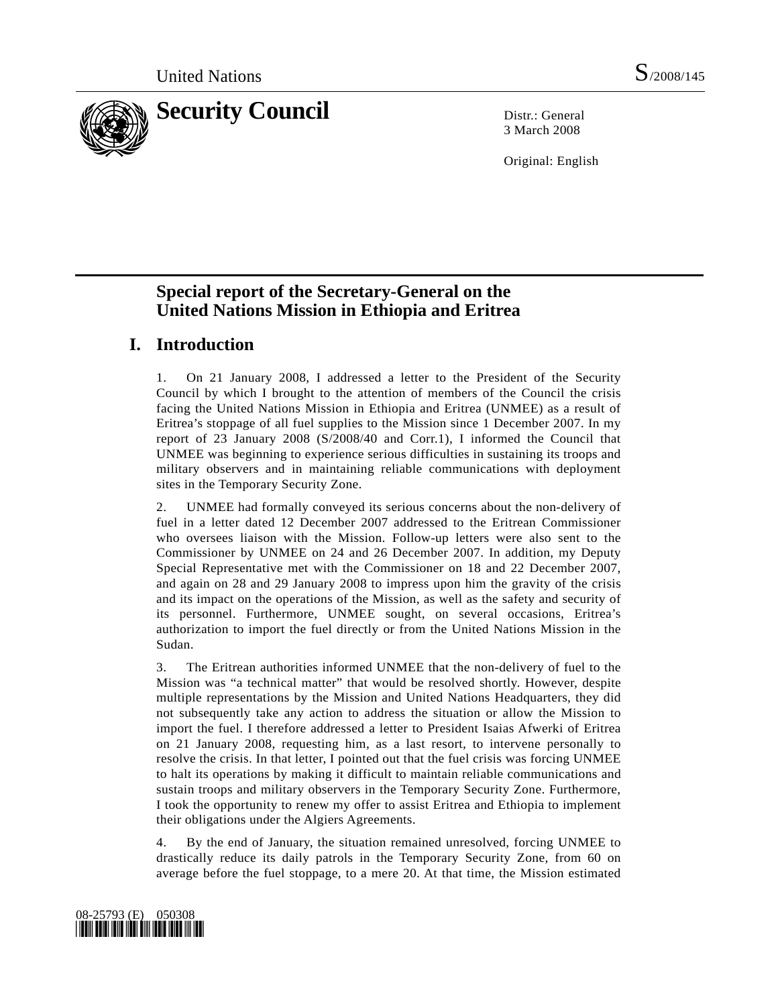

3 March 2008

Original: English

# **Special report of the Secretary-General on the United Nations Mission in Ethiopia and Eritrea**

# **I. Introduction**

1. On 21 January 2008, I addressed a letter to the President of the Security Council by which I brought to the attention of members of the Council the crisis facing the United Nations Mission in Ethiopia and Eritrea (UNMEE) as a result of Eritrea's stoppage of all fuel supplies to the Mission since 1 December 2007. In my report of 23 January 2008 (S/2008/40 and Corr.1), I informed the Council that UNMEE was beginning to experience serious difficulties in sustaining its troops and military observers and in maintaining reliable communications with deployment sites in the Temporary Security Zone.

2. UNMEE had formally conveyed its serious concerns about the non-delivery of fuel in a letter dated 12 December 2007 addressed to the Eritrean Commissioner who oversees liaison with the Mission. Follow-up letters were also sent to the Commissioner by UNMEE on 24 and 26 December 2007. In addition, my Deputy Special Representative met with the Commissioner on 18 and 22 December 2007, and again on 28 and 29 January 2008 to impress upon him the gravity of the crisis and its impact on the operations of the Mission, as well as the safety and security of its personnel. Furthermore, UNMEE sought, on several occasions, Eritrea's authorization to import the fuel directly or from the United Nations Mission in the Sudan.

3. The Eritrean authorities informed UNMEE that the non-delivery of fuel to the Mission was "a technical matter" that would be resolved shortly. However, despite multiple representations by the Mission and United Nations Headquarters, they did not subsequently take any action to address the situation or allow the Mission to import the fuel. I therefore addressed a letter to President Isaias Afwerki of Eritrea on 21 January 2008, requesting him, as a last resort, to intervene personally to resolve the crisis. In that letter, I pointed out that the fuel crisis was forcing UNMEE to halt its operations by making it difficult to maintain reliable communications and sustain troops and military observers in the Temporary Security Zone. Furthermore, I took the opportunity to renew my offer to assist Eritrea and Ethiopia to implement their obligations under the Algiers Agreements.

4. By the end of January, the situation remained unresolved, forcing UNMEE to drastically reduce its daily patrols in the Temporary Security Zone, from 60 on average before the fuel stoppage, to a mere 20. At that time, the Mission estimated

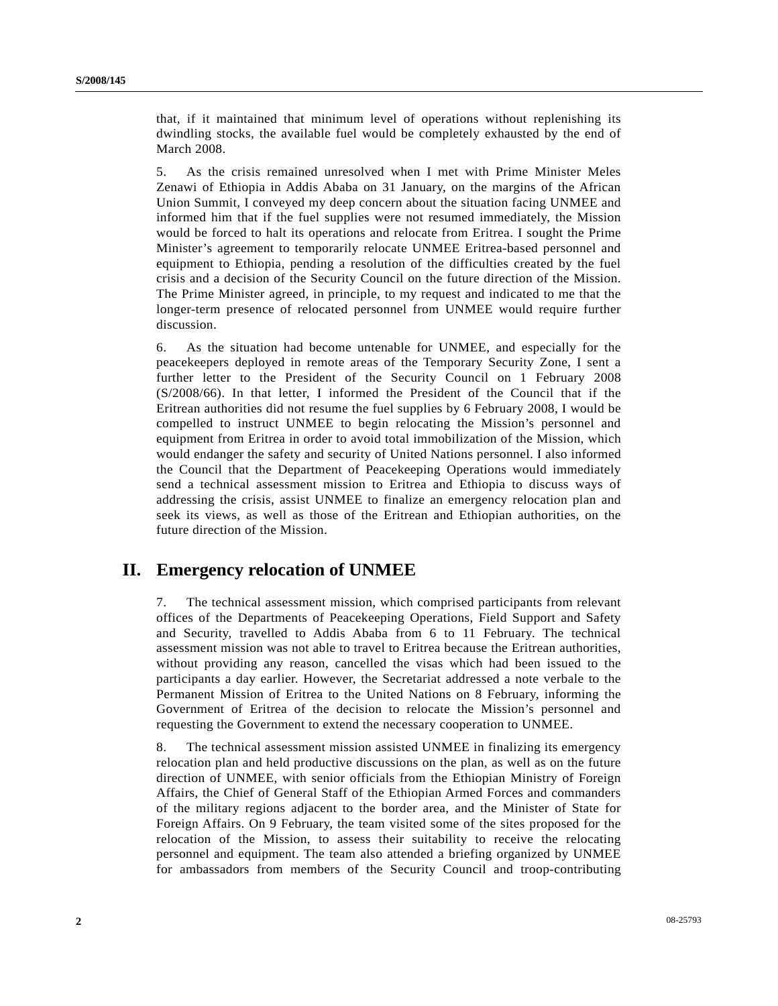that, if it maintained that minimum level of operations without replenishing its dwindling stocks, the available fuel would be completely exhausted by the end of March 2008.

5. As the crisis remained unresolved when I met with Prime Minister Meles Zenawi of Ethiopia in Addis Ababa on 31 January, on the margins of the African Union Summit, I conveyed my deep concern about the situation facing UNMEE and informed him that if the fuel supplies were not resumed immediately, the Mission would be forced to halt its operations and relocate from Eritrea. I sought the Prime Minister's agreement to temporarily relocate UNMEE Eritrea-based personnel and equipment to Ethiopia, pending a resolution of the difficulties created by the fuel crisis and a decision of the Security Council on the future direction of the Mission. The Prime Minister agreed, in principle, to my request and indicated to me that the longer-term presence of relocated personnel from UNMEE would require further discussion.

6. As the situation had become untenable for UNMEE, and especially for the peacekeepers deployed in remote areas of the Temporary Security Zone, I sent a further letter to the President of the Security Council on 1 February 2008 (S/2008/66). In that letter, I informed the President of the Council that if the Eritrean authorities did not resume the fuel supplies by 6 February 2008, I would be compelled to instruct UNMEE to begin relocating the Mission's personnel and equipment from Eritrea in order to avoid total immobilization of the Mission, which would endanger the safety and security of United Nations personnel. I also informed the Council that the Department of Peacekeeping Operations would immediately send a technical assessment mission to Eritrea and Ethiopia to discuss ways of addressing the crisis, assist UNMEE to finalize an emergency relocation plan and seek its views, as well as those of the Eritrean and Ethiopian authorities, on the future direction of the Mission.

### **II. Emergency relocation of UNMEE**

7. The technical assessment mission, which comprised participants from relevant offices of the Departments of Peacekeeping Operations, Field Support and Safety and Security, travelled to Addis Ababa from 6 to 11 February. The technical assessment mission was not able to travel to Eritrea because the Eritrean authorities, without providing any reason, cancelled the visas which had been issued to the participants a day earlier. However, the Secretariat addressed a note verbale to the Permanent Mission of Eritrea to the United Nations on 8 February, informing the Government of Eritrea of the decision to relocate the Mission's personnel and requesting the Government to extend the necessary cooperation to UNMEE.

8. The technical assessment mission assisted UNMEE in finalizing its emergency relocation plan and held productive discussions on the plan, as well as on the future direction of UNMEE, with senior officials from the Ethiopian Ministry of Foreign Affairs, the Chief of General Staff of the Ethiopian Armed Forces and commanders of the military regions adjacent to the border area, and the Minister of State for Foreign Affairs. On 9 February, the team visited some of the sites proposed for the relocation of the Mission, to assess their suitability to receive the relocating personnel and equipment. The team also attended a briefing organized by UNMEE for ambassadors from members of the Security Council and troop-contributing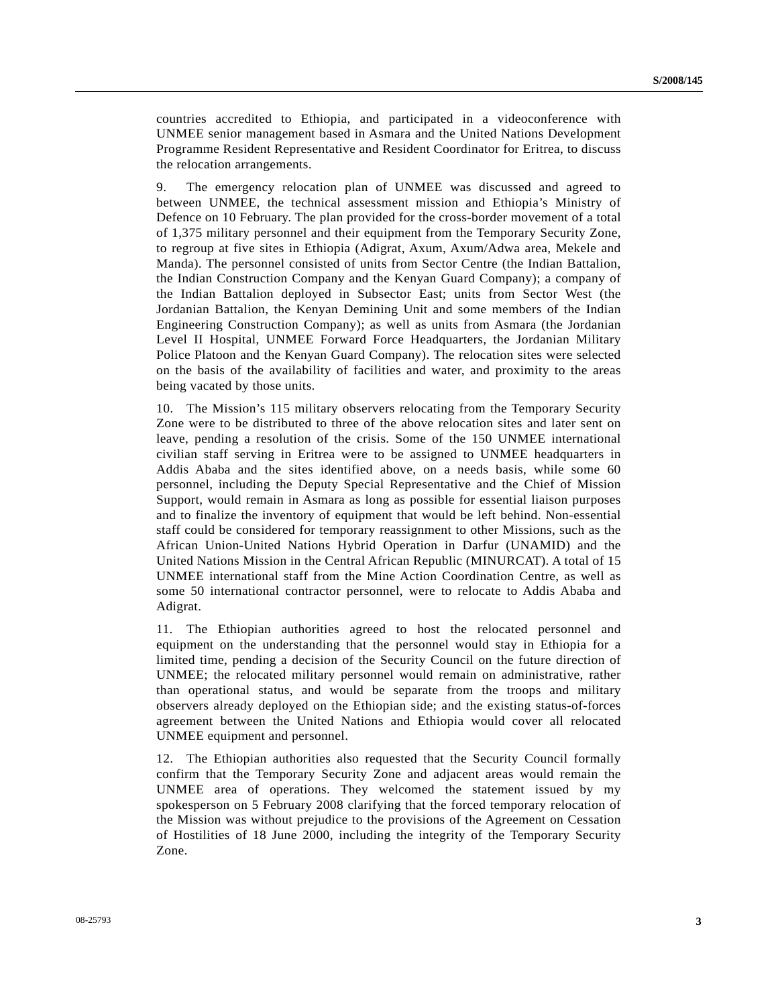countries accredited to Ethiopia, and participated in a videoconference with UNMEE senior management based in Asmara and the United Nations Development Programme Resident Representative and Resident Coordinator for Eritrea, to discuss the relocation arrangements.

9. The emergency relocation plan of UNMEE was discussed and agreed to between UNMEE, the technical assessment mission and Ethiopia's Ministry of Defence on 10 February. The plan provided for the cross-border movement of a total of 1,375 military personnel and their equipment from the Temporary Security Zone, to regroup at five sites in Ethiopia (Adigrat, Axum, Axum/Adwa area, Mekele and Manda). The personnel consisted of units from Sector Centre (the Indian Battalion, the Indian Construction Company and the Kenyan Guard Company); a company of the Indian Battalion deployed in Subsector East; units from Sector West (the Jordanian Battalion, the Kenyan Demining Unit and some members of the Indian Engineering Construction Company); as well as units from Asmara (the Jordanian Level II Hospital, UNMEE Forward Force Headquarters, the Jordanian Military Police Platoon and the Kenyan Guard Company). The relocation sites were selected on the basis of the availability of facilities and water, and proximity to the areas being vacated by those units.

10. The Mission's 115 military observers relocating from the Temporary Security Zone were to be distributed to three of the above relocation sites and later sent on leave, pending a resolution of the crisis. Some of the 150 UNMEE international civilian staff serving in Eritrea were to be assigned to UNMEE headquarters in Addis Ababa and the sites identified above, on a needs basis, while some 60 personnel, including the Deputy Special Representative and the Chief of Mission Support, would remain in Asmara as long as possible for essential liaison purposes and to finalize the inventory of equipment that would be left behind. Non-essential staff could be considered for temporary reassignment to other Missions, such as the African Union-United Nations Hybrid Operation in Darfur (UNAMID) and the United Nations Mission in the Central African Republic (MINURCAT). A total of 15 UNMEE international staff from the Mine Action Coordination Centre, as well as some 50 international contractor personnel, were to relocate to Addis Ababa and Adigrat.

11. The Ethiopian authorities agreed to host the relocated personnel and equipment on the understanding that the personnel would stay in Ethiopia for a limited time, pending a decision of the Security Council on the future direction of UNMEE; the relocated military personnel would remain on administrative, rather than operational status, and would be separate from the troops and military observers already deployed on the Ethiopian side; and the existing status-of-forces agreement between the United Nations and Ethiopia would cover all relocated UNMEE equipment and personnel.

12. The Ethiopian authorities also requested that the Security Council formally confirm that the Temporary Security Zone and adjacent areas would remain the UNMEE area of operations. They welcomed the statement issued by my spokesperson on 5 February 2008 clarifying that the forced temporary relocation of the Mission was without prejudice to the provisions of the Agreement on Cessation of Hostilities of 18 June 2000, including the integrity of the Temporary Security Zone.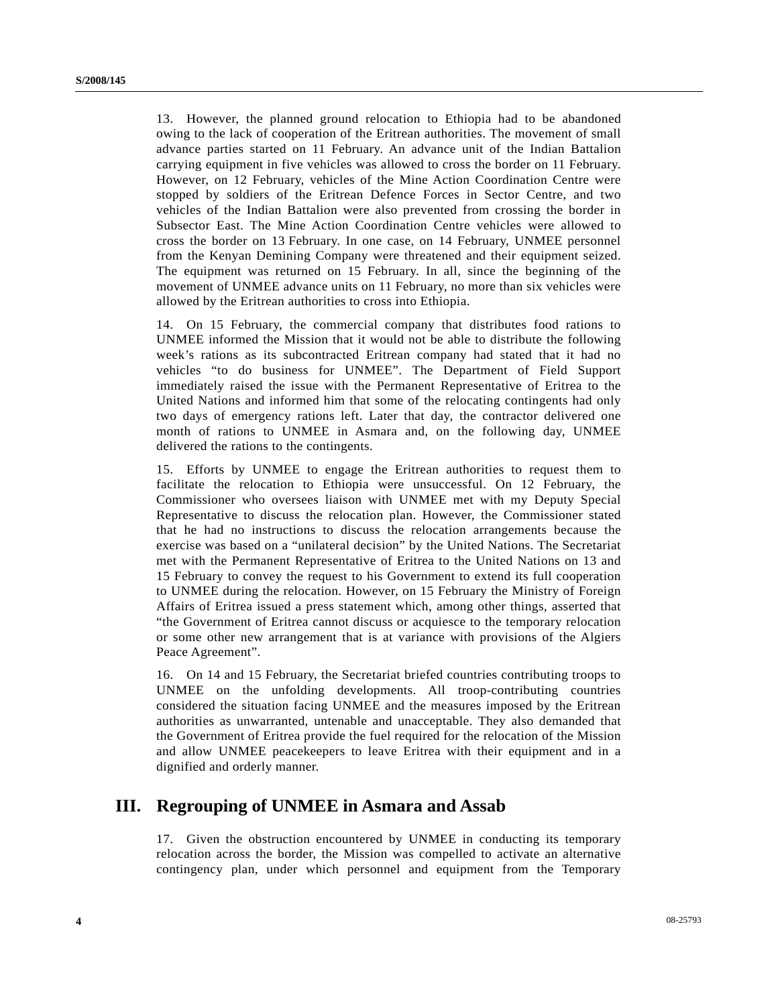13. However, the planned ground relocation to Ethiopia had to be abandoned owing to the lack of cooperation of the Eritrean authorities. The movement of small advance parties started on 11 February. An advance unit of the Indian Battalion carrying equipment in five vehicles was allowed to cross the border on 11 February. However, on 12 February, vehicles of the Mine Action Coordination Centre were stopped by soldiers of the Eritrean Defence Forces in Sector Centre, and two vehicles of the Indian Battalion were also prevented from crossing the border in Subsector East. The Mine Action Coordination Centre vehicles were allowed to cross the border on 13 February. In one case, on 14 February, UNMEE personnel from the Kenyan Demining Company were threatened and their equipment seized. The equipment was returned on 15 February. In all, since the beginning of the movement of UNMEE advance units on 11 February, no more than six vehicles were allowed by the Eritrean authorities to cross into Ethiopia.

14. On 15 February, the commercial company that distributes food rations to UNMEE informed the Mission that it would not be able to distribute the following week's rations as its subcontracted Eritrean company had stated that it had no vehicles "to do business for UNMEE". The Department of Field Support immediately raised the issue with the Permanent Representative of Eritrea to the United Nations and informed him that some of the relocating contingents had only two days of emergency rations left. Later that day, the contractor delivered one month of rations to UNMEE in Asmara and, on the following day, UNMEE delivered the rations to the contingents.

15. Efforts by UNMEE to engage the Eritrean authorities to request them to facilitate the relocation to Ethiopia were unsuccessful. On 12 February, the Commissioner who oversees liaison with UNMEE met with my Deputy Special Representative to discuss the relocation plan. However, the Commissioner stated that he had no instructions to discuss the relocation arrangements because the exercise was based on a "unilateral decision" by the United Nations. The Secretariat met with the Permanent Representative of Eritrea to the United Nations on 13 and 15 February to convey the request to his Government to extend its full cooperation to UNMEE during the relocation. However, on 15 February the Ministry of Foreign Affairs of Eritrea issued a press statement which, among other things, asserted that "the Government of Eritrea cannot discuss or acquiesce to the temporary relocation or some other new arrangement that is at variance with provisions of the Algiers Peace Agreement".

16. On 14 and 15 February, the Secretariat briefed countries contributing troops to UNMEE on the unfolding developments. All troop-contributing countries considered the situation facing UNMEE and the measures imposed by the Eritrean authorities as unwarranted, untenable and unacceptable. They also demanded that the Government of Eritrea provide the fuel required for the relocation of the Mission and allow UNMEE peacekeepers to leave Eritrea with their equipment and in a dignified and orderly manner.

## **III. Regrouping of UNMEE in Asmara and Assab**

17. Given the obstruction encountered by UNMEE in conducting its temporary relocation across the border, the Mission was compelled to activate an alternative contingency plan, under which personnel and equipment from the Temporary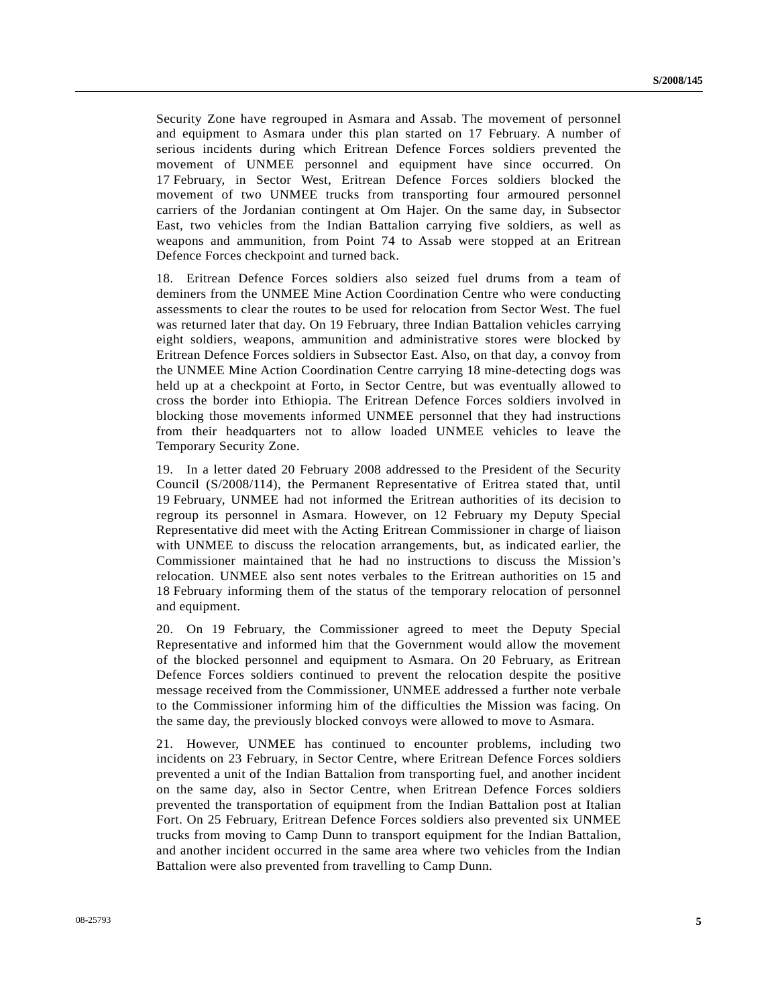Security Zone have regrouped in Asmara and Assab. The movement of personnel and equipment to Asmara under this plan started on 17 February. A number of serious incidents during which Eritrean Defence Forces soldiers prevented the movement of UNMEE personnel and equipment have since occurred. On 17 February, in Sector West, Eritrean Defence Forces soldiers blocked the movement of two UNMEE trucks from transporting four armoured personnel carriers of the Jordanian contingent at Om Hajer. On the same day, in Subsector East, two vehicles from the Indian Battalion carrying five soldiers, as well as weapons and ammunition, from Point 74 to Assab were stopped at an Eritrean Defence Forces checkpoint and turned back.

18. Eritrean Defence Forces soldiers also seized fuel drums from a team of deminers from the UNMEE Mine Action Coordination Centre who were conducting assessments to clear the routes to be used for relocation from Sector West. The fuel was returned later that day. On 19 February, three Indian Battalion vehicles carrying eight soldiers, weapons, ammunition and administrative stores were blocked by Eritrean Defence Forces soldiers in Subsector East. Also, on that day, a convoy from the UNMEE Mine Action Coordination Centre carrying 18 mine-detecting dogs was held up at a checkpoint at Forto, in Sector Centre, but was eventually allowed to cross the border into Ethiopia. The Eritrean Defence Forces soldiers involved in blocking those movements informed UNMEE personnel that they had instructions from their headquarters not to allow loaded UNMEE vehicles to leave the Temporary Security Zone.

19. In a letter dated 20 February 2008 addressed to the President of the Security Council (S/2008/114), the Permanent Representative of Eritrea stated that, until 19 February, UNMEE had not informed the Eritrean authorities of its decision to regroup its personnel in Asmara. However, on 12 February my Deputy Special Representative did meet with the Acting Eritrean Commissioner in charge of liaison with UNMEE to discuss the relocation arrangements, but, as indicated earlier, the Commissioner maintained that he had no instructions to discuss the Mission's relocation. UNMEE also sent notes verbales to the Eritrean authorities on 15 and 18 February informing them of the status of the temporary relocation of personnel and equipment.

20. On 19 February, the Commissioner agreed to meet the Deputy Special Representative and informed him that the Government would allow the movement of the blocked personnel and equipment to Asmara. On 20 February, as Eritrean Defence Forces soldiers continued to prevent the relocation despite the positive message received from the Commissioner, UNMEE addressed a further note verbale to the Commissioner informing him of the difficulties the Mission was facing. On the same day, the previously blocked convoys were allowed to move to Asmara.

21. However, UNMEE has continued to encounter problems, including two incidents on 23 February, in Sector Centre, where Eritrean Defence Forces soldiers prevented a unit of the Indian Battalion from transporting fuel, and another incident on the same day, also in Sector Centre, when Eritrean Defence Forces soldiers prevented the transportation of equipment from the Indian Battalion post at Italian Fort. On 25 February, Eritrean Defence Forces soldiers also prevented six UNMEE trucks from moving to Camp Dunn to transport equipment for the Indian Battalion, and another incident occurred in the same area where two vehicles from the Indian Battalion were also prevented from travelling to Camp Dunn.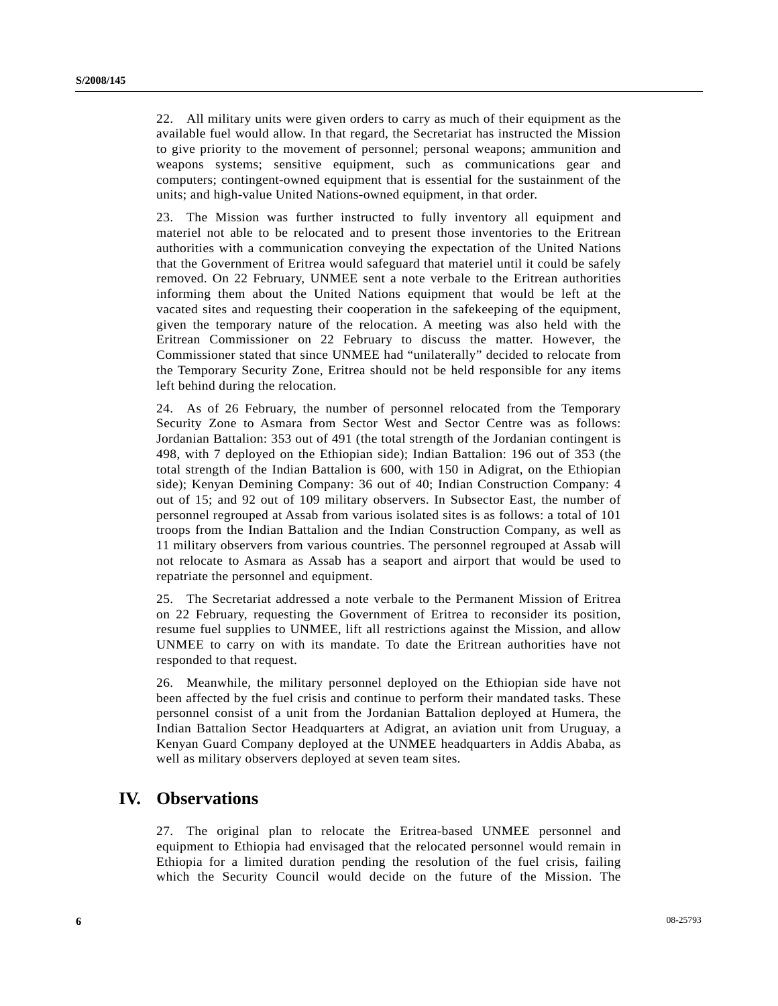22. All military units were given orders to carry as much of their equipment as the available fuel would allow. In that regard, the Secretariat has instructed the Mission to give priority to the movement of personnel; personal weapons; ammunition and weapons systems; sensitive equipment, such as communications gear and computers; contingent-owned equipment that is essential for the sustainment of the units; and high-value United Nations-owned equipment, in that order.

23. The Mission was further instructed to fully inventory all equipment and materiel not able to be relocated and to present those inventories to the Eritrean authorities with a communication conveying the expectation of the United Nations that the Government of Eritrea would safeguard that materiel until it could be safely removed. On 22 February, UNMEE sent a note verbale to the Eritrean authorities informing them about the United Nations equipment that would be left at the vacated sites and requesting their cooperation in the safekeeping of the equipment, given the temporary nature of the relocation. A meeting was also held with the Eritrean Commissioner on 22 February to discuss the matter. However, the Commissioner stated that since UNMEE had "unilaterally" decided to relocate from the Temporary Security Zone, Eritrea should not be held responsible for any items left behind during the relocation.

24. As of 26 February, the number of personnel relocated from the Temporary Security Zone to Asmara from Sector West and Sector Centre was as follows: Jordanian Battalion: 353 out of 491 (the total strength of the Jordanian contingent is 498, with 7 deployed on the Ethiopian side); Indian Battalion: 196 out of 353 (the total strength of the Indian Battalion is 600, with 150 in Adigrat, on the Ethiopian side); Kenyan Demining Company: 36 out of 40; Indian Construction Company: 4 out of 15; and 92 out of 109 military observers. In Subsector East, the number of personnel regrouped at Assab from various isolated sites is as follows: a total of 101 troops from the Indian Battalion and the Indian Construction Company, as well as 11 military observers from various countries. The personnel regrouped at Assab will not relocate to Asmara as Assab has a seaport and airport that would be used to repatriate the personnel and equipment.

25. The Secretariat addressed a note verbale to the Permanent Mission of Eritrea on 22 February, requesting the Government of Eritrea to reconsider its position, resume fuel supplies to UNMEE, lift all restrictions against the Mission, and allow UNMEE to carry on with its mandate. To date the Eritrean authorities have not responded to that request.

26. Meanwhile, the military personnel deployed on the Ethiopian side have not been affected by the fuel crisis and continue to perform their mandated tasks. These personnel consist of a unit from the Jordanian Battalion deployed at Humera, the Indian Battalion Sector Headquarters at Adigrat, an aviation unit from Uruguay, a Kenyan Guard Company deployed at the UNMEE headquarters in Addis Ababa, as well as military observers deployed at seven team sites.

### **IV. Observations**

27. The original plan to relocate the Eritrea-based UNMEE personnel and equipment to Ethiopia had envisaged that the relocated personnel would remain in Ethiopia for a limited duration pending the resolution of the fuel crisis, failing which the Security Council would decide on the future of the Mission. The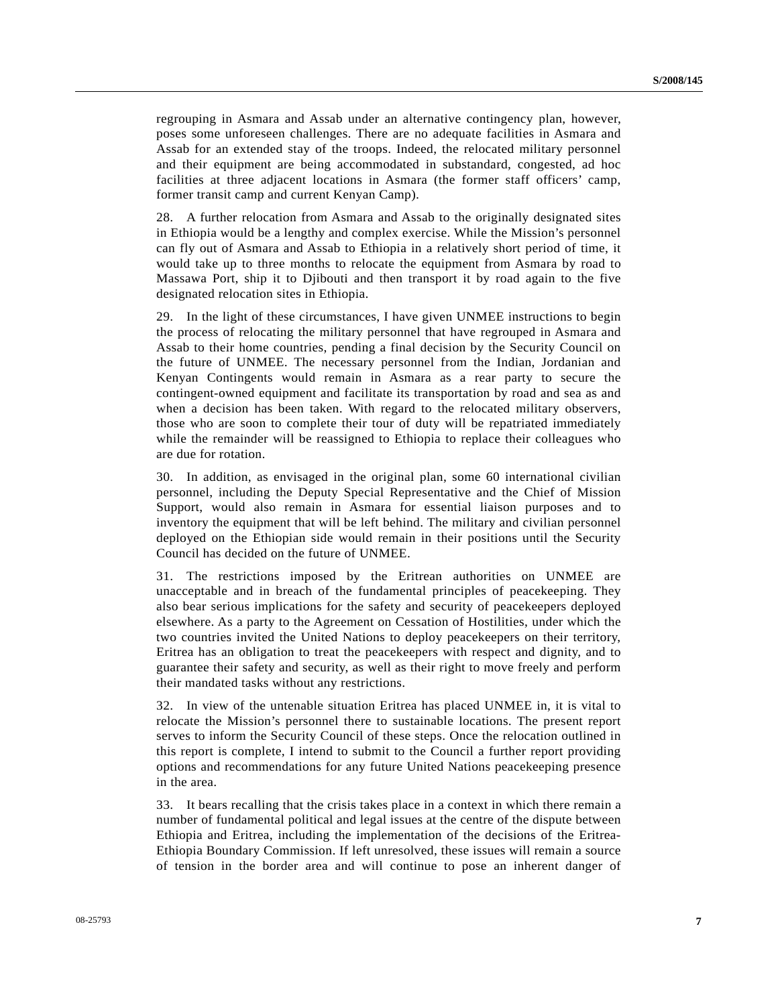regrouping in Asmara and Assab under an alternative contingency plan, however, poses some unforeseen challenges. There are no adequate facilities in Asmara and Assab for an extended stay of the troops. Indeed, the relocated military personnel and their equipment are being accommodated in substandard, congested, ad hoc facilities at three adjacent locations in Asmara (the former staff officers' camp, former transit camp and current Kenyan Camp).

28. A further relocation from Asmara and Assab to the originally designated sites in Ethiopia would be a lengthy and complex exercise. While the Mission's personnel can fly out of Asmara and Assab to Ethiopia in a relatively short period of time, it would take up to three months to relocate the equipment from Asmara by road to Massawa Port, ship it to Djibouti and then transport it by road again to the five designated relocation sites in Ethiopia.

29. In the light of these circumstances, I have given UNMEE instructions to begin the process of relocating the military personnel that have regrouped in Asmara and Assab to their home countries, pending a final decision by the Security Council on the future of UNMEE. The necessary personnel from the Indian, Jordanian and Kenyan Contingents would remain in Asmara as a rear party to secure the contingent-owned equipment and facilitate its transportation by road and sea as and when a decision has been taken. With regard to the relocated military observers, those who are soon to complete their tour of duty will be repatriated immediately while the remainder will be reassigned to Ethiopia to replace their colleagues who are due for rotation.

30. In addition, as envisaged in the original plan, some 60 international civilian personnel, including the Deputy Special Representative and the Chief of Mission Support, would also remain in Asmara for essential liaison purposes and to inventory the equipment that will be left behind. The military and civilian personnel deployed on the Ethiopian side would remain in their positions until the Security Council has decided on the future of UNMEE.

31. The restrictions imposed by the Eritrean authorities on UNMEE are unacceptable and in breach of the fundamental principles of peacekeeping. They also bear serious implications for the safety and security of peacekeepers deployed elsewhere. As a party to the Agreement on Cessation of Hostilities, under which the two countries invited the United Nations to deploy peacekeepers on their territory, Eritrea has an obligation to treat the peacekeepers with respect and dignity, and to guarantee their safety and security, as well as their right to move freely and perform their mandated tasks without any restrictions.

32. In view of the untenable situation Eritrea has placed UNMEE in, it is vital to relocate the Mission's personnel there to sustainable locations. The present report serves to inform the Security Council of these steps. Once the relocation outlined in this report is complete, I intend to submit to the Council a further report providing options and recommendations for any future United Nations peacekeeping presence in the area.

33. It bears recalling that the crisis takes place in a context in which there remain a number of fundamental political and legal issues at the centre of the dispute between Ethiopia and Eritrea, including the implementation of the decisions of the Eritrea-Ethiopia Boundary Commission. If left unresolved, these issues will remain a source of tension in the border area and will continue to pose an inherent danger of